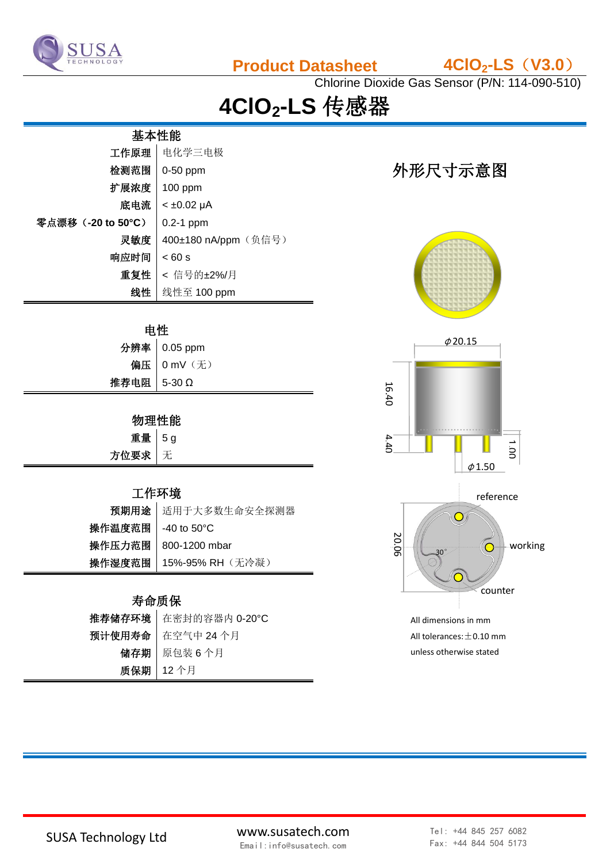

**Product Datasheet 4ClO2-LS**(**V3.0**)

Chlorine Dioxide Gas Sensor (P/N: 114-090-510)

# **4ClO2-LS** 传感器

## 基本性能

| 工作原理               | 电化学三电极               |
|--------------------|----------------------|
| 检测范围               | 0-50 ppm             |
| 扩展浓度               | $100$ ppm            |
| 底电流                | $< \pm 0.02 \mu A$   |
| 零点漂移 (-20 to 50°C) | $0.2-1$ ppm          |
| 灵敏度                | 400±180 nA/ppm (负信号) |
| 响应时间               | < 60 s               |
| 重复性                | < 信号的±2%/月           |
| 线性                 | 线性至 100 ppm          |

#### 电性

|             | 分辨率 0.05 ppm |
|-------------|--------------|
|             | 偏压 0 mV (无)  |
| 推荐电阻 5-30 Ω |              |

### 物理性能

| 重量 5g  |  |
|--------|--|
| 方位要求 无 |  |

#### 工作环境

|                      | 预期用途 适用于大多数生命安全探测器               |
|----------------------|----------------------------------|
| 操作温度范围 │ -40 to 50°C |                                  |
|                      | 操作压力范围   800-1200 mbar           |
|                      | <b>操作湿度范围   15%-95% RH</b> (无冷凝) |

#### 寿命质保

| 推荐储存环境   在密封的容器内 0-20°C |
|-------------------------|
| 预计使用寿命   在空气中 24 个月     |
| 储存期   原包装6个月            |
| 质保期   12个月              |

## 外形尺寸示意图





All tolerances:  $\pm$  0.10 mm unless otherwise stated

SUSA Technology Ltd www.susatech.com Email:info@susatech.com

Tel: +44 845 257 6082 Fax: +44 844 504 5173